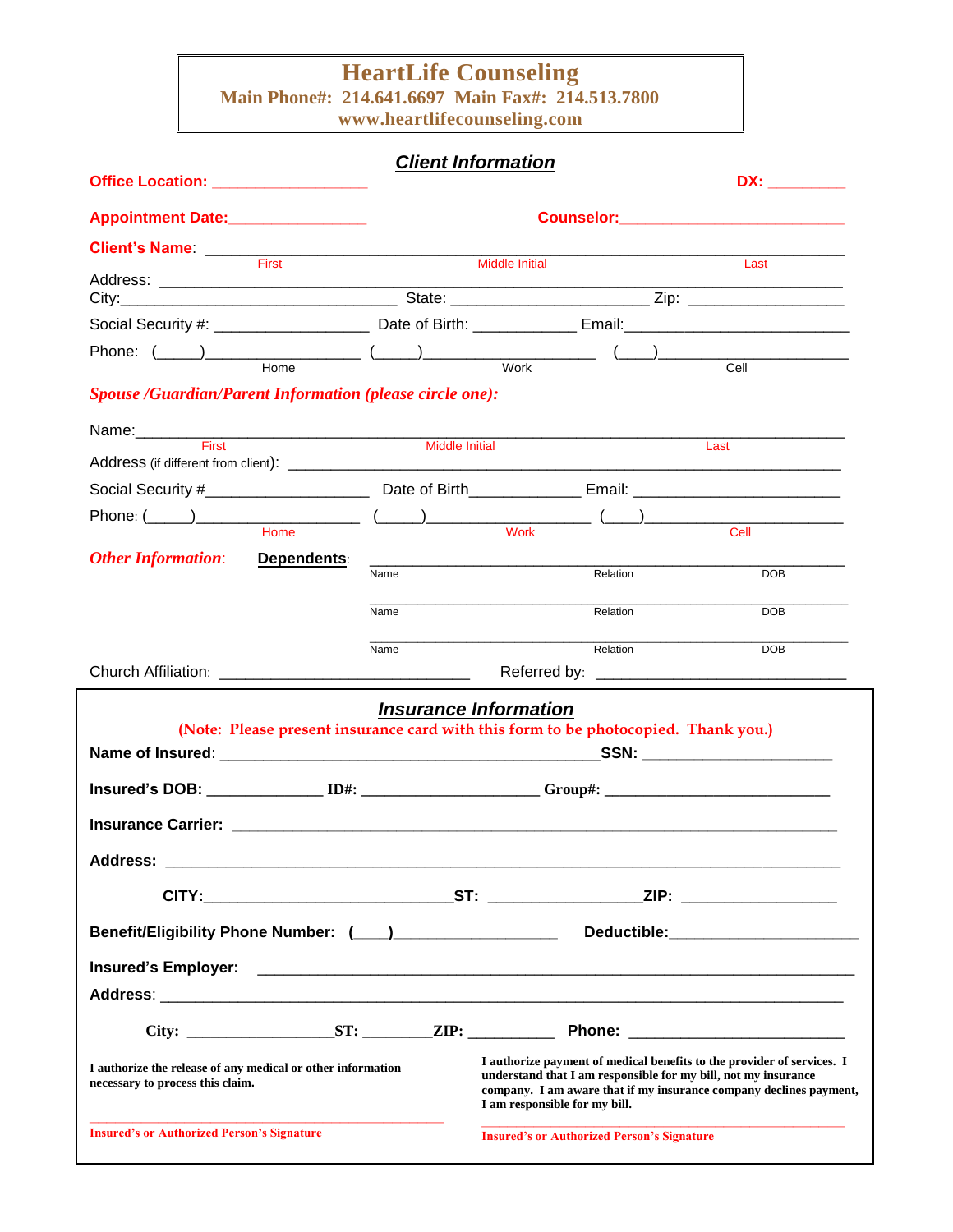## **HeartLife Counseling**

**Main Phone#: 214.641.6697 Main Fax#: 214.513.7800**

**www.heartlifecounseling.com**

### *Client Information*

| Office Location: __________________                                                                                                                                                                                                                                                                                                                                |                                                                                    |                              |                               |          | DX: _________                                                                                                                                                                                                  |
|--------------------------------------------------------------------------------------------------------------------------------------------------------------------------------------------------------------------------------------------------------------------------------------------------------------------------------------------------------------------|------------------------------------------------------------------------------------|------------------------------|-------------------------------|----------|----------------------------------------------------------------------------------------------------------------------------------------------------------------------------------------------------------------|
| Appointment Date:_________________                                                                                                                                                                                                                                                                                                                                 |                                                                                    |                              |                               |          |                                                                                                                                                                                                                |
|                                                                                                                                                                                                                                                                                                                                                                    |                                                                                    |                              |                               |          |                                                                                                                                                                                                                |
| Client's Name: <u>First Einer Scholars and Text Scholars and Text Scholars and Text Scholars and Text Scholars and Text Scholars and Text Scholars and Text Scholars and Text Scholars and Text Scholars and Text Scholars and T</u>                                                                                                                               |                                                                                    |                              | <b>Middle Initial</b>         |          | Last                                                                                                                                                                                                           |
|                                                                                                                                                                                                                                                                                                                                                                    |                                                                                    |                              |                               |          |                                                                                                                                                                                                                |
|                                                                                                                                                                                                                                                                                                                                                                    |                                                                                    |                              |                               |          |                                                                                                                                                                                                                |
|                                                                                                                                                                                                                                                                                                                                                                    |                                                                                    |                              |                               |          |                                                                                                                                                                                                                |
| Phone: $(\_\_\_\_\_\_\$ Home $(\_\_\_\_\)_$                                                                                                                                                                                                                                                                                                                        |                                                                                    |                              |                               |          | Cell                                                                                                                                                                                                           |
| <b>Spouse /Guardian/Parent Information (please circle one):</b>                                                                                                                                                                                                                                                                                                    |                                                                                    |                              |                               |          |                                                                                                                                                                                                                |
|                                                                                                                                                                                                                                                                                                                                                                    |                                                                                    |                              |                               |          |                                                                                                                                                                                                                |
| Name: First                                                                                                                                                                                                                                                                                                                                                        |                                                                                    | <b>Middle Initial</b>        |                               |          | Last                                                                                                                                                                                                           |
|                                                                                                                                                                                                                                                                                                                                                                    |                                                                                    |                              |                               |          |                                                                                                                                                                                                                |
|                                                                                                                                                                                                                                                                                                                                                                    |                                                                                    |                              |                               |          |                                                                                                                                                                                                                |
| $\begin{picture}(180,10) \put(0,0){\vector(1,0){100}} \put(15,0){\vector(1,0){100}} \put(15,0){\vector(1,0){100}} \put(15,0){\vector(1,0){100}} \put(15,0){\vector(1,0){100}} \put(15,0){\vector(1,0){100}} \put(15,0){\vector(1,0){100}} \put(15,0){\vector(1,0){100}} \put(15,0){\vector(1,0){100}} \put(15,0){\vector(1,0){100}} \put(15,0){\vector(1,0){100}}$ |                                                                                    |                              |                               |          | Cell                                                                                                                                                                                                           |
| <b>Other Information:</b>                                                                                                                                                                                                                                                                                                                                          | Dependents:                                                                        |                              |                               |          |                                                                                                                                                                                                                |
|                                                                                                                                                                                                                                                                                                                                                                    |                                                                                    | Name                         |                               | Relation | DOB                                                                                                                                                                                                            |
|                                                                                                                                                                                                                                                                                                                                                                    |                                                                                    | Name                         |                               | Relation | <b>DOB</b>                                                                                                                                                                                                     |
|                                                                                                                                                                                                                                                                                                                                                                    |                                                                                    |                              |                               |          |                                                                                                                                                                                                                |
|                                                                                                                                                                                                                                                                                                                                                                    |                                                                                    | Name                         |                               | Relation | <b>DOB</b>                                                                                                                                                                                                     |
|                                                                                                                                                                                                                                                                                                                                                                    |                                                                                    |                              |                               |          |                                                                                                                                                                                                                |
|                                                                                                                                                                                                                                                                                                                                                                    |                                                                                    | <b>Insurance Information</b> |                               |          |                                                                                                                                                                                                                |
|                                                                                                                                                                                                                                                                                                                                                                    | (Note: Please present insurance card with this form to be photocopied. Thank you.) |                              |                               |          |                                                                                                                                                                                                                |
|                                                                                                                                                                                                                                                                                                                                                                    |                                                                                    |                              |                               |          |                                                                                                                                                                                                                |
| $Insured's DOB: \_ \_ \_ \_ \_ \_ \_ \_ \_ \_ \_ \_ \_$                                                                                                                                                                                                                                                                                                            |                                                                                    |                              |                               |          |                                                                                                                                                                                                                |
|                                                                                                                                                                                                                                                                                                                                                                    |                                                                                    |                              |                               |          |                                                                                                                                                                                                                |
|                                                                                                                                                                                                                                                                                                                                                                    |                                                                                    |                              |                               |          |                                                                                                                                                                                                                |
|                                                                                                                                                                                                                                                                                                                                                                    |                                                                                    |                              |                               |          |                                                                                                                                                                                                                |
|                                                                                                                                                                                                                                                                                                                                                                    |                                                                                    |                              |                               |          |                                                                                                                                                                                                                |
|                                                                                                                                                                                                                                                                                                                                                                    |                                                                                    |                              |                               |          |                                                                                                                                                                                                                |
| Benefit/Eligibility Phone Number: (___)____________________                                                                                                                                                                                                                                                                                                        |                                                                                    |                              |                               |          |                                                                                                                                                                                                                |
|                                                                                                                                                                                                                                                                                                                                                                    |                                                                                    |                              |                               |          |                                                                                                                                                                                                                |
|                                                                                                                                                                                                                                                                                                                                                                    |                                                                                    |                              |                               |          |                                                                                                                                                                                                                |
|                                                                                                                                                                                                                                                                                                                                                                    |                                                                                    |                              |                               |          |                                                                                                                                                                                                                |
| I authorize the release of any medical or other information<br>necessary to process this claim.                                                                                                                                                                                                                                                                    |                                                                                    |                              |                               |          | I authorize payment of medical benefits to the provider of services. I<br>understand that I am responsible for my bill, not my insurance<br>company. I am aware that if my insurance company declines payment, |
|                                                                                                                                                                                                                                                                                                                                                                    |                                                                                    |                              | I am responsible for my bill. |          |                                                                                                                                                                                                                |

**\_\_\_\_\_\_\_\_\_\_\_\_\_\_\_\_\_\_\_\_\_\_\_\_\_\_\_\_\_\_\_\_\_\_\_\_\_\_\_\_\_\_**

**Insured's or Authorized Person's Signature**

**Insured's or Authorized Person's Signature** 

**\_\_\_\_\_\_\_\_\_\_\_\_\_\_\_\_\_\_\_\_\_\_\_\_\_\_\_\_\_\_\_\_\_\_\_\_\_\_\_\_\_**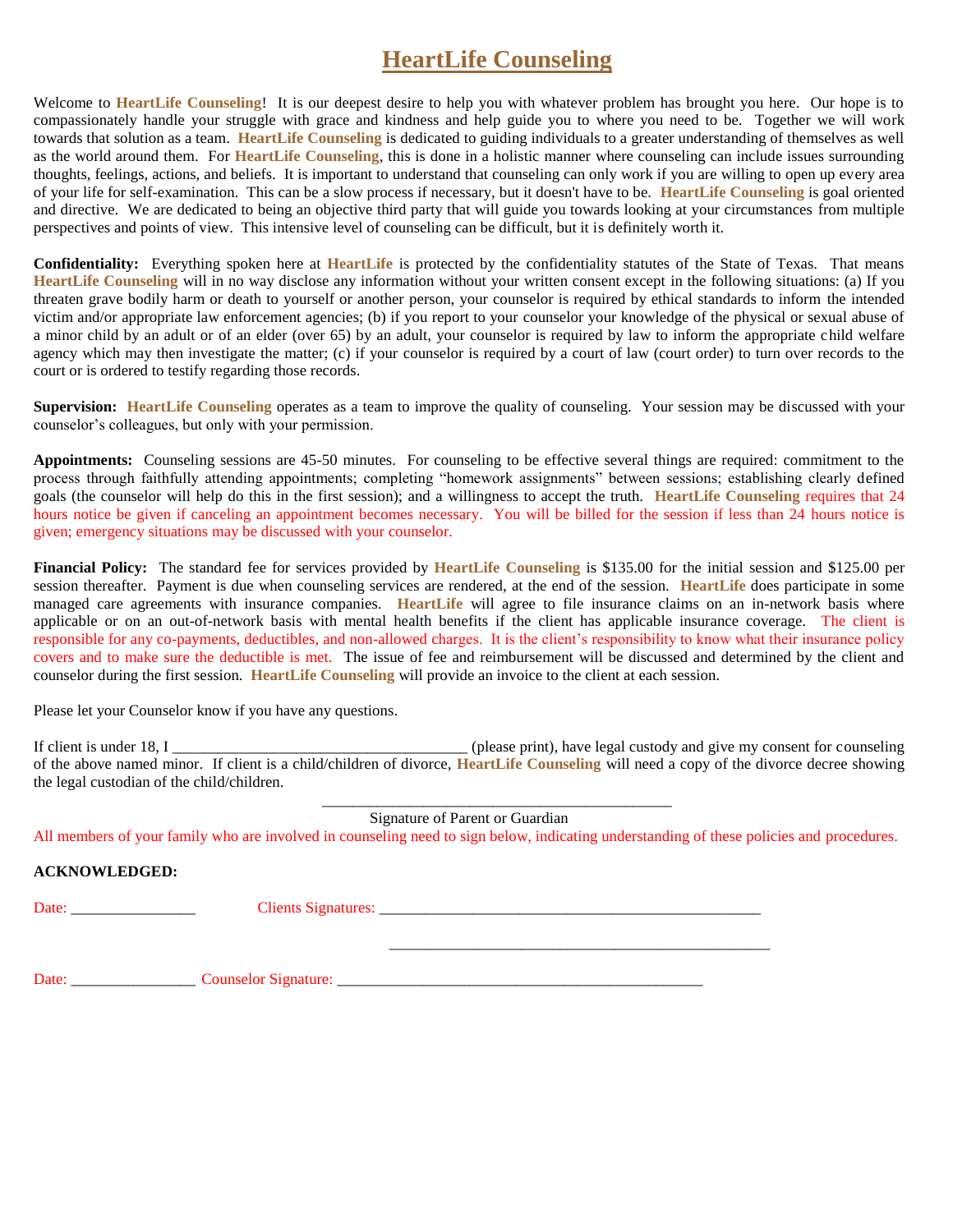## **HeartLife Counseling**

Welcome to **HeartLife Counseling**! It is our deepest desire to help you with whatever problem has brought you here. Our hope is to compassionately handle your struggle with grace and kindness and help guide you to where you need to be. Together we will work towards that solution as a team. **HeartLife Counseling** is dedicated to guiding individuals to a greater understanding of themselves as well as the world around them. For **HeartLife Counseling**, this is done in a holistic manner where counseling can include issues surrounding thoughts, feelings, actions, and beliefs. It is important to understand that counseling can only work if you are willing to open up every area of your life for self-examination. This can be a slow process if necessary, but it doesn't have to be. **HeartLife Counseling** is goal oriented and directive. We are dedicated to being an objective third party that will guide you towards looking at your circumstances from multiple perspectives and points of view. This intensive level of counseling can be difficult, but it is definitely worth it.

**Confidentiality:** Everything spoken here at **HeartLife** is protected by the confidentiality statutes of the State of Texas. That means **HeartLife Counseling** will in no way disclose any information without your written consent except in the following situations: (a) If you threaten grave bodily harm or death to yourself or another person, your counselor is required by ethical standards to inform the intended victim and/or appropriate law enforcement agencies; (b) if you report to your counselor your knowledge of the physical or sexual abuse of a minor child by an adult or of an elder (over 65) by an adult, your counselor is required by law to inform the appropriate child welfare agency which may then investigate the matter; (c) if your counselor is required by a court of law (court order) to turn over records to the court or is ordered to testify regarding those records.

**Supervision: HeartLife Counseling** operates as a team to improve the quality of counseling. Your session may be discussed with your counselor's colleagues, but only with your permission.

**Appointments:** Counseling sessions are 45-50 minutes. For counseling to be effective several things are required: commitment to the process through faithfully attending appointments; completing "homework assignments" between sessions; establishing clearly defined goals (the counselor will help do this in the first session); and a willingness to accept the truth. **HeartLife Counseling** requires that 24 hours notice be given if canceling an appointment becomes necessary. You will be billed for the session if less than 24 hours notice is given; emergency situations may be discussed with your counselor.

**Financial Policy:** The standard fee for services provided by **HeartLife Counseling** is \$135.00 for the initial session and \$125.00 per session thereafter. Payment is due when counseling services are rendered, at the end of the session. **HeartLife** does participate in some managed care agreements with insurance companies. **HeartLife** will agree to file insurance claims on an in-network basis where applicable or on an out-of-network basis with mental health benefits if the client has applicable insurance coverage. The client is responsible for any co-payments, deductibles, and non-allowed charges. It is the client's responsibility to know what their insurance policy covers and to make sure the deductible is met. The issue of fee and reimbursement will be discussed and determined by the client and counselor during the first session. **HeartLife Counseling** will provide an invoice to the client at each session.

Please let your Counselor know if you have any questions.

| If client is under 18, I                   | (please print), have legal custody and give my consent for counseling                                                                          |
|--------------------------------------------|------------------------------------------------------------------------------------------------------------------------------------------------|
|                                            | of the above named minor. If client is a child/children of divorce, <b>HeartLife Counseling</b> will need a copy of the divorce decree showing |
| the legal custodian of the child/children. |                                                                                                                                                |

Signature of Parent or Guardian

All members of your family who are involved in counseling need to sign below, indicating understanding of these policies and procedures.

#### **ACKNOWLEDGED:**

Date: \_\_\_\_\_\_\_\_\_\_\_\_\_\_\_\_ Clients Signatures: \_\_\_\_\_\_\_\_\_\_\_\_\_\_\_\_\_\_\_\_\_\_\_\_\_\_\_\_\_\_\_\_\_\_\_\_\_\_\_\_\_\_\_\_\_\_\_\_\_

\_\_\_\_\_\_\_\_\_\_\_\_\_\_\_\_\_\_\_\_\_\_\_\_\_\_\_\_\_\_\_\_\_\_\_\_\_\_\_\_\_\_\_\_\_\_\_\_\_

\_\_\_\_\_\_\_\_\_\_\_\_\_\_\_\_\_\_\_\_\_\_\_\_\_\_\_\_\_\_\_\_\_\_\_\_\_\_\_\_\_\_\_\_\_

Date: \_\_\_\_\_\_\_\_\_\_\_\_\_\_\_\_ Counselor Signature: \_\_\_\_\_\_\_\_\_\_\_\_\_\_\_\_\_\_\_\_\_\_\_\_\_\_\_\_\_\_\_\_\_\_\_\_\_\_\_\_\_\_\_\_\_\_\_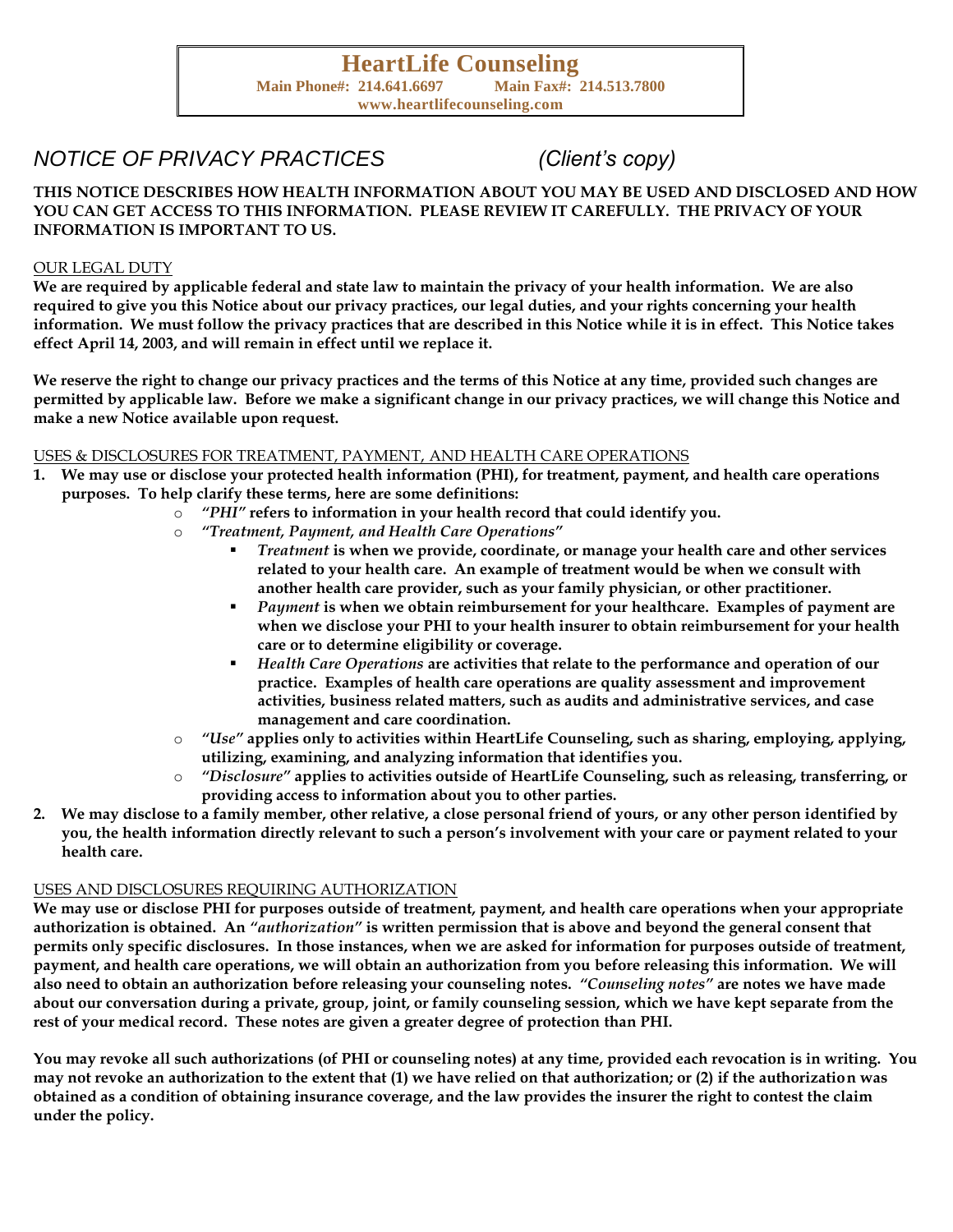## *NOTICE OF PRIVACY PRACTICES (Client's copy)*

**THIS NOTICE DESCRIBES HOW HEALTH INFORMATION ABOUT YOU MAY BE USED AND DISCLOSED AND HOW YOU CAN GET ACCESS TO THIS INFORMATION. PLEASE REVIEW IT CAREFULLY. THE PRIVACY OF YOUR INFORMATION IS IMPORTANT TO US.**

#### OUR LEGAL DUTY

**We are required by applicable federal and state law to maintain the privacy of your health information. We are also required to give you this Notice about our privacy practices, our legal duties, and your rights concerning your health information. We must follow the privacy practices that are described in this Notice while it is in effect. This Notice takes effect April 14, 2003, and will remain in effect until we replace it.** 

**We reserve the right to change our privacy practices and the terms of this Notice at any time, provided such changes are permitted by applicable law. Before we make a significant change in our privacy practices, we will change this Notice and make a new Notice available upon request.** 

#### USES & DISCLOSURES FOR TREATMENT, PAYMENT, AND HEALTH CARE OPERATIONS

- **1. We may use or disclose your protected health information (PHI), for treatment, payment, and health care operations purposes. To help clarify these terms, here are some definitions:** 
	- o *"PHI"* **refers to information in your health record that could identify you.**
	- o *"Treatment, Payment, and Health Care Operations"*
		- *Treatment* **is when we provide, coordinate, or manage your health care and other services related to your health care. An example of treatment would be when we consult with another health care provider, such as your family physician, or other practitioner.**
		- *Payment* **is when we obtain reimbursement for your healthcare. Examples of payment are when we disclose your PHI to your health insurer to obtain reimbursement for your health care or to determine eligibility or coverage.**
		- *Health Care Operations* **are activities that relate to the performance and operation of our practice. Examples of health care operations are quality assessment and improvement activities, business related matters, such as audits and administrative services, and case management and care coordination.**
	- o *"Use"* **applies only to activities within HeartLife Counseling, such as sharing, employing, applying, utilizing, examining, and analyzing information that identifies you.**
	- o *"Disclosure"* **applies to activities outside of HeartLife Counseling, such as releasing, transferring, or providing access to information about you to other parties.**
- **2. We may disclose to a family member, other relative, a close personal friend of yours, or any other person identified by you, the health information directly relevant to such a person's involvement with your care or payment related to your health care.**

#### USES AND DISCLOSURES REQUIRING AUTHORIZATION

**We may use or disclose PHI for purposes outside of treatment, payment, and health care operations when your appropriate authorization is obtained. An** *"authorization"* **is written permission that is above and beyond the general consent that permits only specific disclosures. In those instances, when we are asked for information for purposes outside of treatment, payment, and health care operations, we will obtain an authorization from you before releasing this information. We will also need to obtain an authorization before releasing your counseling notes.** *"Counseling notes"* **are notes we have made about our conversation during a private, group, joint, or family counseling session, which we have kept separate from the rest of your medical record. These notes are given a greater degree of protection than PHI.**

**You may revoke all such authorizations (of PHI or counseling notes) at any time, provided each revocation is in writing. You may not revoke an authorization to the extent that (1) we have relied on that authorization; or (2) if the authorization was obtained as a condition of obtaining insurance coverage, and the law provides the insurer the right to contest the claim under the policy.**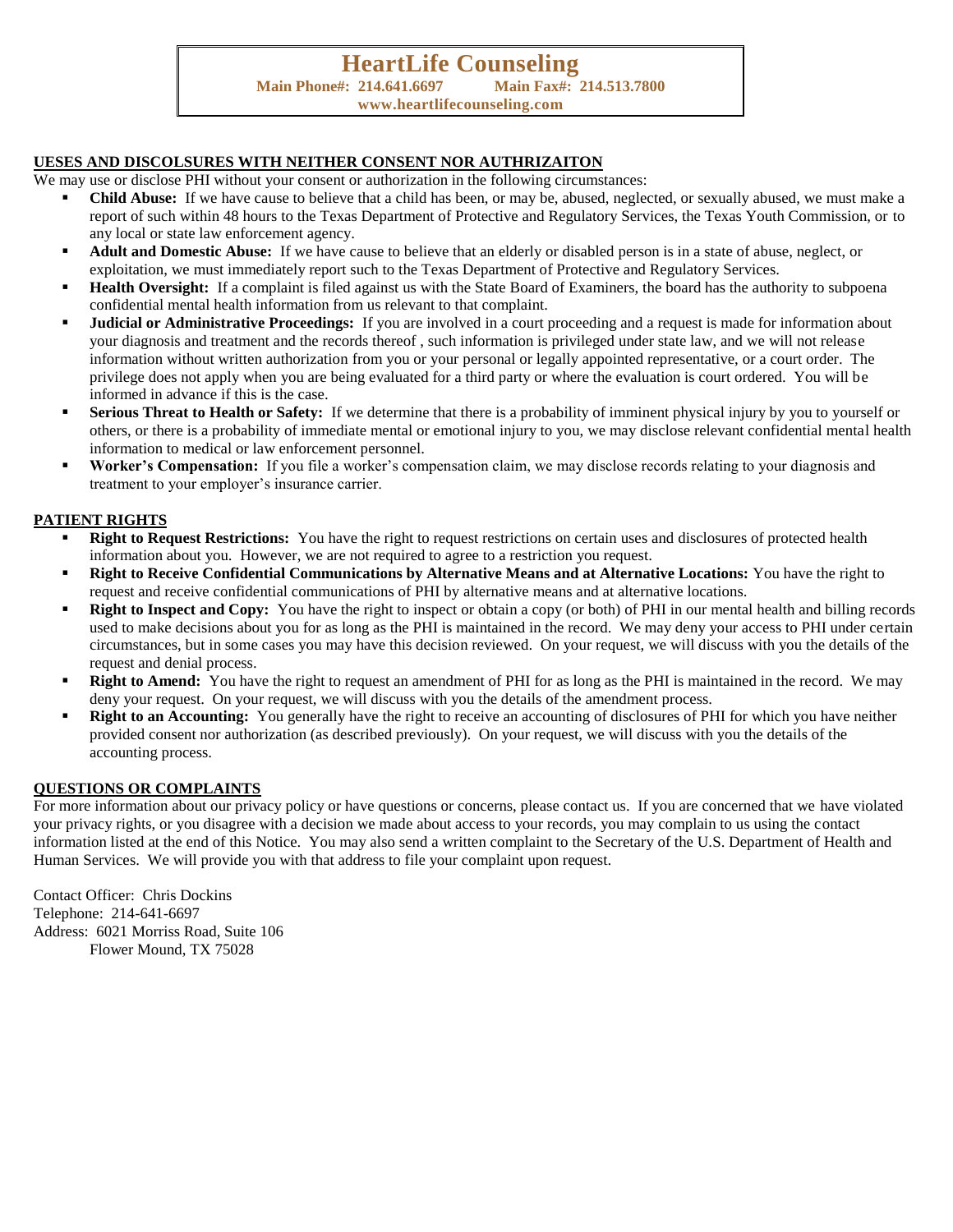#### **UESES AND DISCOLSURES WITH NEITHER CONSENT NOR AUTHRIZAITON**

We may use or disclose PHI without your consent or authorization in the following circumstances:

- Child Abuse: If we have cause to believe that a child has been, or may be, abused, neglected, or sexually abused, we must make a report of such within 48 hours to the Texas Department of Protective and Regulatory Services, the Texas Youth Commission, or to any local or state law enforcement agency.
- Adult and Domestic Abuse: If we have cause to believe that an elderly or disabled person is in a state of abuse, neglect, or exploitation, we must immediately report such to the Texas Department of Protective and Regulatory Services.
- **Health Oversight:** If a complaint is filed against us with the State Board of Examiners, the board has the authority to subpoena confidential mental health information from us relevant to that complaint.
- **Judicial or Administrative Proceedings:** If you are involved in a court proceeding and a request is made for information about your diagnosis and treatment and the records thereof , such information is privileged under state law, and we will not release information without written authorization from you or your personal or legally appointed representative, or a court order. The privilege does not apply when you are being evaluated for a third party or where the evaluation is court ordered. You will be informed in advance if this is the case.
- **Serious Threat to Health or Safety:** If we determine that there is a probability of imminent physical injury by you to yourself or others, or there is a probability of immediate mental or emotional injury to you, we may disclose relevant confidential mental health information to medical or law enforcement personnel.
- **Worker's Compensation:** If you file a worker's compensation claim, we may disclose records relating to your diagnosis and treatment to your employer's insurance carrier.

#### **PATIENT RIGHTS**

- **Right to Request Restrictions:** You have the right to request restrictions on certain uses and disclosures of protected health information about you. However, we are not required to agree to a restriction you request.
- **Right to Receive Confidential Communications by Alternative Means and at Alternative Locations:** You have the right to request and receive confidential communications of PHI by alternative means and at alternative locations.
- **Right to Inspect and Copy:** You have the right to inspect or obtain a copy (or both) of PHI in our mental health and billing records used to make decisions about you for as long as the PHI is maintained in the record. We may deny your access to PHI under certain circumstances, but in some cases you may have this decision reviewed. On your request, we will discuss with you the details of the request and denial process.
- **Right to Amend:** You have the right to request an amendment of PHI for as long as the PHI is maintained in the record. We may deny your request. On your request, we will discuss with you the details of the amendment process.
- **Right to an Accounting:** You generally have the right to receive an accounting of disclosures of PHI for which you have neither provided consent nor authorization (as described previously). On your request, we will discuss with you the details of the accounting process.

#### **QUESTIONS OR COMPLAINTS**

For more information about our privacy policy or have questions or concerns, please contact us. If you are concerned that we have violated your privacy rights, or you disagree with a decision we made about access to your records, you may complain to us using the contact information listed at the end of this Notice. You may also send a written complaint to the Secretary of the U.S. Department of Health and Human Services. We will provide you with that address to file your complaint upon request.

Contact Officer: Chris Dockins Telephone: 214-641-6697 Address: 6021 Morriss Road, Suite 106 Flower Mound, TX 75028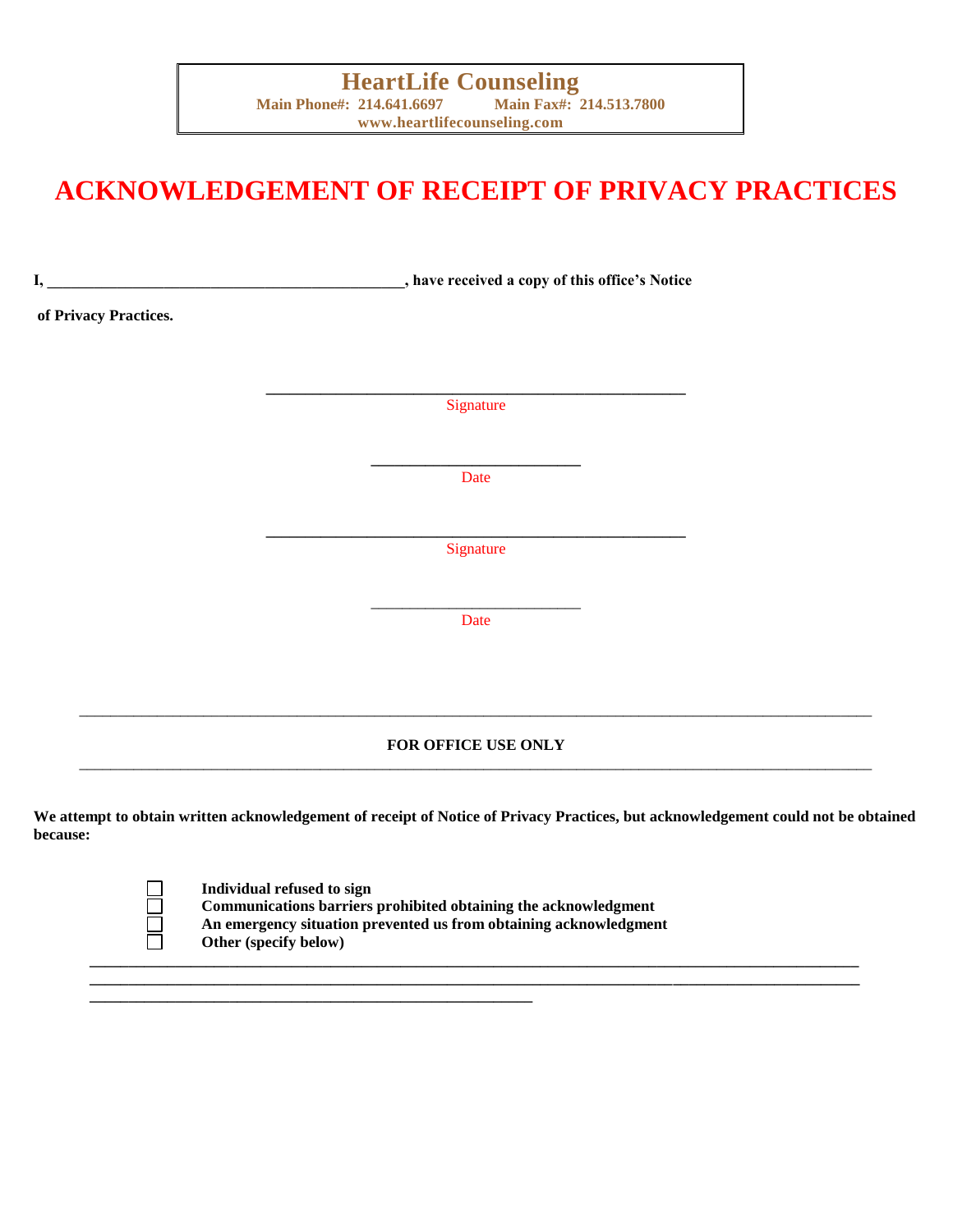# **ACKNOWLEDGEMENT OF RECEIPT OF PRIVACY PRACTICES**

| I,                    | have received a copy of this office's Notice |  |
|-----------------------|----------------------------------------------|--|
| of Privacy Practices. |                                              |  |
|                       |                                              |  |
|                       | Signature                                    |  |
|                       |                                              |  |
|                       | Date                                         |  |
|                       |                                              |  |
|                       | Signature                                    |  |
|                       | Date                                         |  |
|                       |                                              |  |
|                       |                                              |  |
|                       | FOR OFFICE USE ONLY                          |  |
|                       |                                              |  |

**We attempt to obtain written acknowledgement of receipt of Notice of Privacy Practices, but acknowledgement could not be obtained because:**

**\_\_\_\_\_\_\_\_\_\_\_\_\_\_\_\_\_\_\_\_\_\_\_\_\_\_\_\_\_\_\_\_\_\_\_\_\_\_\_\_\_\_\_\_\_\_\_\_\_\_\_\_\_\_\_\_\_\_\_\_\_\_\_\_\_\_\_\_\_\_\_\_\_\_\_\_\_\_\_\_\_\_\_\_\_\_\_\_\_\_\_\_\_\_\_\_\_\_\_ \_\_\_\_\_\_\_\_\_\_\_\_\_\_\_\_\_\_\_\_\_\_\_\_\_\_\_\_\_\_\_\_\_\_\_\_\_\_\_\_\_\_\_\_\_\_\_\_\_\_\_\_\_\_\_\_\_\_\_\_\_\_\_\_\_\_\_\_\_\_\_\_\_\_\_\_\_\_\_\_\_\_\_\_\_\_\_\_\_\_\_\_\_\_\_\_\_\_\_**

| - |
|---|
|   |
|   |
|   |

**Individual refused to sign Communications barriers prohibited obtaining the acknowledgment An emergency situation prevented us from obtaining acknowledgment Other (specify below)**

**\_\_\_\_\_\_\_\_\_\_\_\_\_\_\_\_\_\_\_\_\_\_\_\_\_\_\_\_\_\_\_\_\_\_\_\_\_\_\_\_\_\_\_\_\_\_\_\_\_\_\_\_\_\_\_\_\_**